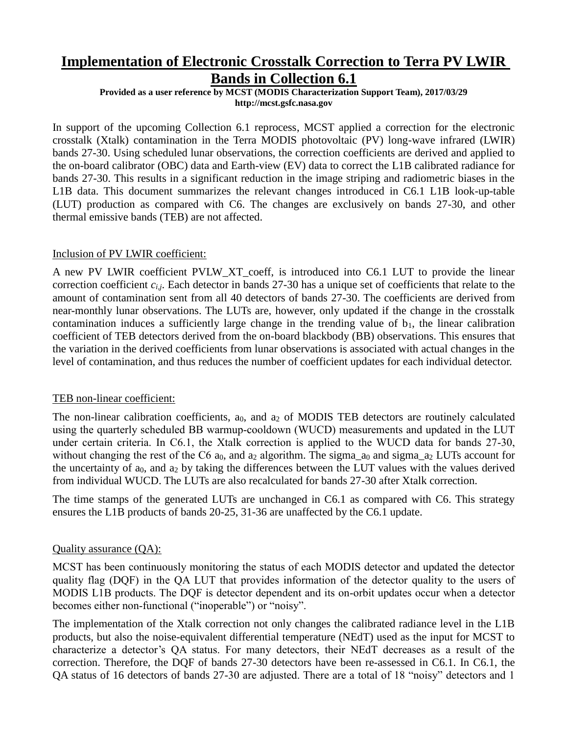# **Implementation of Electronic Crosstalk Correction to Terra PV LWIR Bands in Collection 6.1**

**Provided as a user reference by MCST (MODIS Characterization Support Team), 2017/03/29 http://mcst.gsfc.nasa.gov**

In support of the upcoming Collection 6.1 reprocess, MCST applied a correction for the electronic crosstalk (Xtalk) contamination in the Terra MODIS photovoltaic (PV) long-wave infrared (LWIR) bands 27-30. Using scheduled lunar observations, the correction coefficients are derived and applied to the on-board calibrator (OBC) data and Earth-view (EV) data to correct the L1B calibrated radiance for bands 27-30. This results in a significant reduction in the image striping and radiometric biases in the L1B data. This document summarizes the relevant changes introduced in C6.1 L1B look-up-table (LUT) production as compared with C6. The changes are exclusively on bands 27-30, and other thermal emissive bands (TEB) are not affected.

### Inclusion of PV LWIR coefficient:

A new PV LWIR coefficient PVLW\_XT\_coeff, is introduced into C6.1 LUT to provide the linear correction coefficient  $c_{i,j}$ . Each detector in bands 27-30 has a unique set of coefficients that relate to the amount of contamination sent from all 40 detectors of bands 27-30. The coefficients are derived from near-monthly lunar observations. The LUTs are, however, only updated if the change in the crosstalk contamination induces a sufficiently large change in the trending value of  $b<sub>1</sub>$ , the linear calibration coefficient of TEB detectors derived from the on-board blackbody (BB) observations. This ensures that the variation in the derived coefficients from lunar observations is associated with actual changes in the level of contamination, and thus reduces the number of coefficient updates for each individual detector.

## TEB non-linear coefficient:

The non-linear calibration coefficients, a<sub>0</sub>, and a<sub>2</sub> of MODIS TEB detectors are routinely calculated using the quarterly scheduled BB warmup-cooldown (WUCD) measurements and updated in the LUT under certain criteria. In C6.1, the Xtalk correction is applied to the WUCD data for bands 27-30, without changing the rest of the C6  $a_0$ , and  $a_2$  algorithm. The sigma  $a_0$  and sigma  $a_2$  LUTs account for the uncertainty of  $a_0$ , and  $a_2$  by taking the differences between the LUT values with the values derived from individual WUCD. The LUTs are also recalculated for bands 27-30 after Xtalk correction.

The time stamps of the generated LUTs are unchanged in C6.1 as compared with C6. This strategy ensures the L1B products of bands 20-25, 31-36 are unaffected by the C6.1 update.

## Quality assurance (QA):

MCST has been continuously monitoring the status of each MODIS detector and updated the detector quality flag (DQF) in the QA LUT that provides information of the detector quality to the users of MODIS L1B products. The DQF is detector dependent and its on-orbit updates occur when a detector becomes either non-functional ("inoperable") or "noisy".

The implementation of the Xtalk correction not only changes the calibrated radiance level in the L1B products, but also the noise-equivalent differential temperature (NEdT) used as the input for MCST to characterize a detector's QA status. For many detectors, their NEdT decreases as a result of the correction. Therefore, the DQF of bands 27-30 detectors have been re-assessed in C6.1. In C6.1, the QA status of 16 detectors of bands 27-30 are adjusted. There are a total of 18 "noisy" detectors and 1